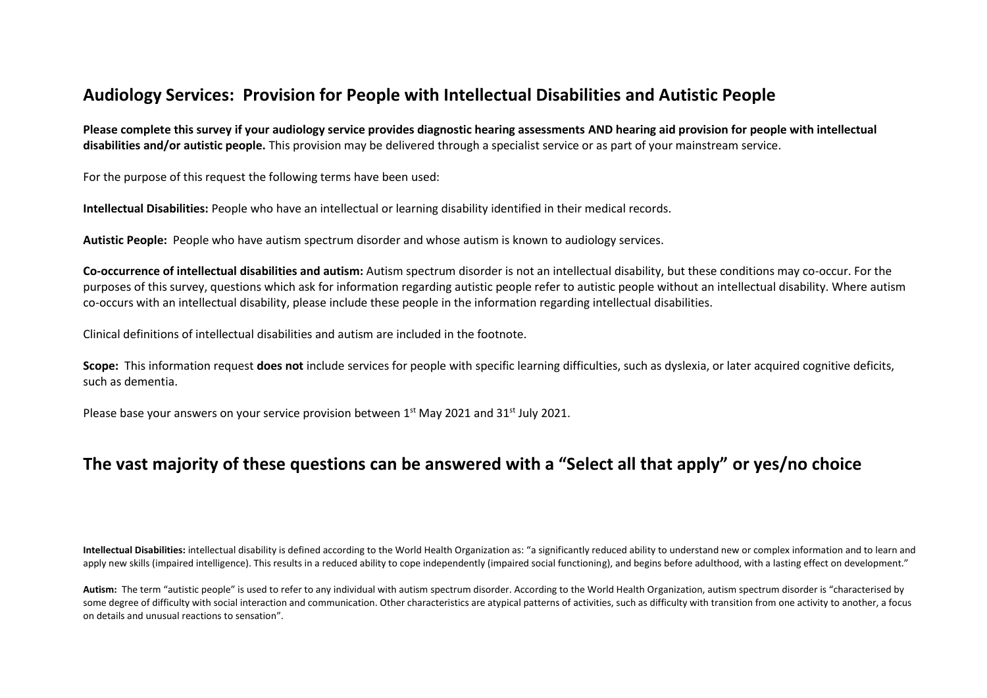# **Audiology Services: Provision for People with Intellectual Disabilities and Autistic People**

**Please complete this survey if your audiology service provides diagnostic hearing assessments AND hearing aid provision for people with intellectual disabilities and/or autistic people.** This provision may be delivered through a specialist service or as part of your mainstream service.

For the purpose of this request the following terms have been used:

**Intellectual Disabilities:** People who have an intellectual or learning disability identified in their medical records.

**Autistic People:** People who have autism spectrum disorder and whose autism is known to audiology services.

**Co-occurrence of intellectual disabilities and autism:** Autism spectrum disorder is not an intellectual disability, but these conditions may co-occur. For the purposes of this survey, questions which ask for information regarding autistic people refer to autistic people without an intellectual disability. Where autism co-occurs with an intellectual disability, please include these people in the information regarding intellectual disabilities.

Clinical definitions of intellectual disabilities and autism are included in the footnote.

**Scope:** This information request **does not** include services for people with specific learning difficulties, such as dyslexia, or later acquired cognitive deficits, such as dementia.

Please base your answers on your service provision between  $1^{st}$  May 2021 and 31st July 2021.

# **The vast majority of these questions can be answered with a "Select all that apply" or yes/no choice**

**Intellectual Disabilities:** intellectual disability is defined according to the World Health Organization as: "a significantly reduced ability to understand new or complex information and to learn and apply new skills (impaired intelligence). This results in a reduced ability to cope independently (impaired social functioning), and begins before adulthood, with a lasting effect on development."

Autism: The term "autistic people" is used to refer to any individual with autism spectrum disorder. According to the World Health Organization, autism spectrum disorder is "characterised by some degree of difficulty with social interaction and communication. Other characteristics are atypical patterns of activities, such as difficulty with transition from one activity to another, a focus on details and unusual reactions to sensation".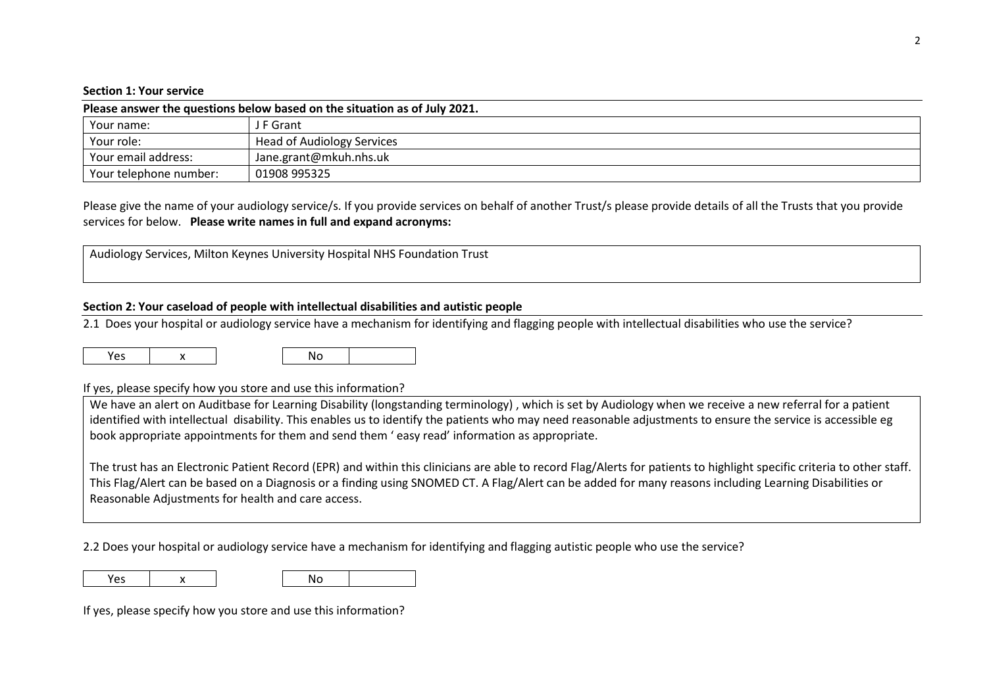#### **Section 1: Your service**

| Please answer the questions below based on the situation as of July 2021. |                                   |  |  |
|---------------------------------------------------------------------------|-----------------------------------|--|--|
| Your name:                                                                | J F Grant                         |  |  |
| Your role:                                                                | <b>Head of Audiology Services</b> |  |  |
| Your email address:                                                       | Jane.grant@mkuh.nhs.uk            |  |  |
| Your telephone number:                                                    | 01908 995325                      |  |  |

Please give the name of your audiology service/s. If you provide services on behalf of another Trust/s please provide details of all the Trusts that you provide services for below. **Please write names in full and expand acronyms:**

Audiology Services, Milton Keynes University Hospital NHS Foundation Trust

## **Section 2: Your caseload of people with intellectual disabilities and autistic people**

2.1 Does your hospital or audiology service have a mechanism for identifying and flagging people with intellectual disabilities who use the service?

|--|

## If yes, please specify how you store and use this information?

We have an alert on Auditbase for Learning Disability (longstanding terminology), which is set by Audiology when we receive a new referral for a patient identified with intellectual disability. This enables us to identify the patients who may need reasonable adjustments to ensure the service is accessible eg book appropriate appointments for them and send them ' easy read' information as appropriate.

The trust has an Electronic Patient Record (EPR) and within this clinicians are able to record Flag/Alerts for patients to highlight specific criteria to other staff. This Flag/Alert can be based on a Diagnosis or a finding using SNOMED CT. A Flag/Alert can be added for many reasons including Learning Disabilities or Reasonable Adjustments for health and care access.

2.2 Does your hospital or audiology service have a mechanism for identifying and flagging autistic people who use the service?

Yes | x | No

If yes, please specify how you store and use this information?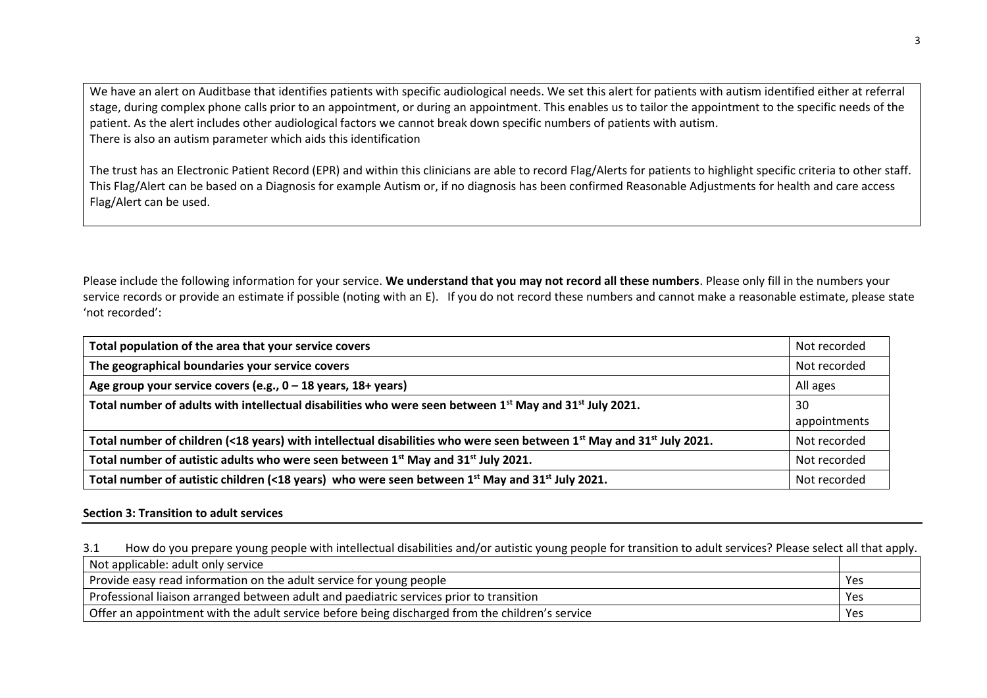We have an alert on Auditbase that identifies patients with specific audiological needs. We set this alert for patients with autism identified either at referral stage, during complex phone calls prior to an appointment, or during an appointment. This enables us to tailor the appointment to the specific needs of the patient. As the alert includes other audiological factors we cannot break down specific numbers of patients with autism. There is also an autism parameter which aids this identification

The trust has an Electronic Patient Record (EPR) and within this clinicians are able to record Flag/Alerts for patients to highlight specific criteria to other staff. This Flag/Alert can be based on a Diagnosis for example Autism or, if no diagnosis has been confirmed Reasonable Adjustments for health and care access Flag/Alert can be used.

Please include the following information for your service. **We understand that you may not record all these numbers**. Please only fill in the numbers your service records or provide an estimate if possible (noting with an E). If you do not record these numbers and cannot make a reasonable estimate, please state 'not recorded':

| Total population of the area that your service covers                                                                           | Not recorded |
|---------------------------------------------------------------------------------------------------------------------------------|--------------|
| The geographical boundaries your service covers                                                                                 | Not recorded |
| Age group your service covers (e.g., $0 - 18$ years, $18 +$ years)                                                              | All ages     |
| Total number of adults with intellectual disabilities who were seen between 1 <sup>st</sup> May and 31 <sup>st</sup> July 2021. | -30          |
|                                                                                                                                 | appointments |
| Total number of children (<18 years) with intellectual disabilities who were seen between $1^{st}$ May and $31^{st}$ July 2021. | Not recorded |
| Total number of autistic adults who were seen between 1st May and 31st July 2021.                                               | Not recorded |
| Total number of autistic children (<18 years) who were seen between 1 <sup>st</sup> May and 31 <sup>st</sup> July 2021.         | Not recorded |

# **Section 3: Transition to adult services**

3.1 How do you prepare young people with intellectual disabilities and/or autistic young people for transition to adult services? Please select all that apply.

| Not applicable: adult only service                                                              |     |
|-------------------------------------------------------------------------------------------------|-----|
| Provide easy read information on the adult service for young people                             | Yes |
| Professional liaison arranged between adult and paediatric services prior to transition         | Yes |
| Offer an appointment with the adult service before being discharged from the children's service | Yes |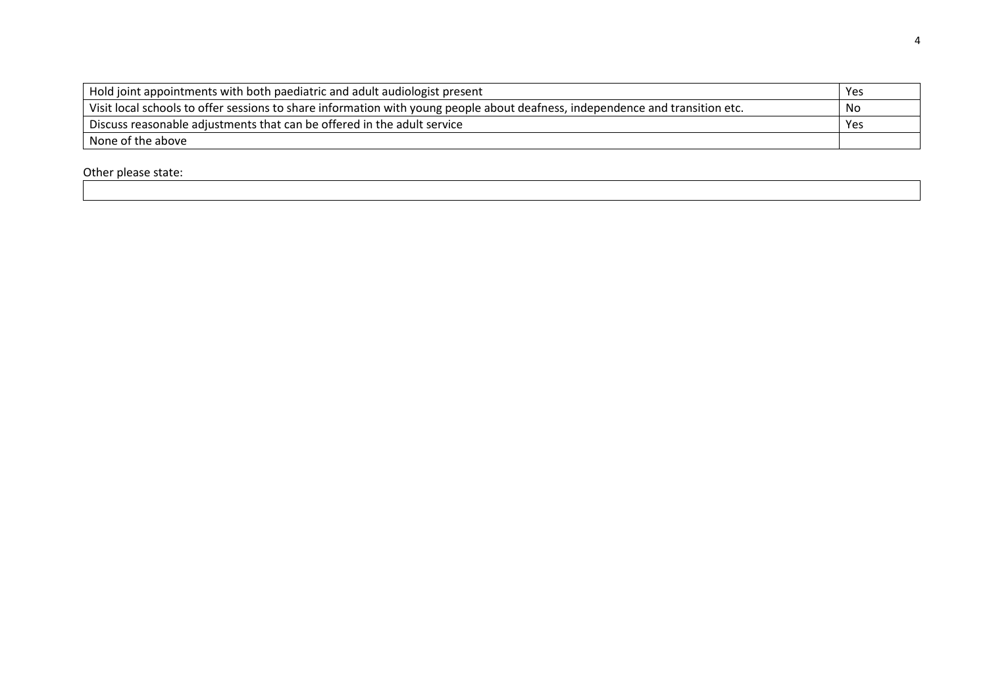| Hold joint appointments with both paediatric and adult audiologist present                                                    | Yes |
|-------------------------------------------------------------------------------------------------------------------------------|-----|
| Visit local schools to offer sessions to share information with young people about deafness, independence and transition etc. | No  |
| Discuss reasonable adjustments that can be offered in the adult service                                                       | Yes |
| None of the above                                                                                                             |     |

Other please state: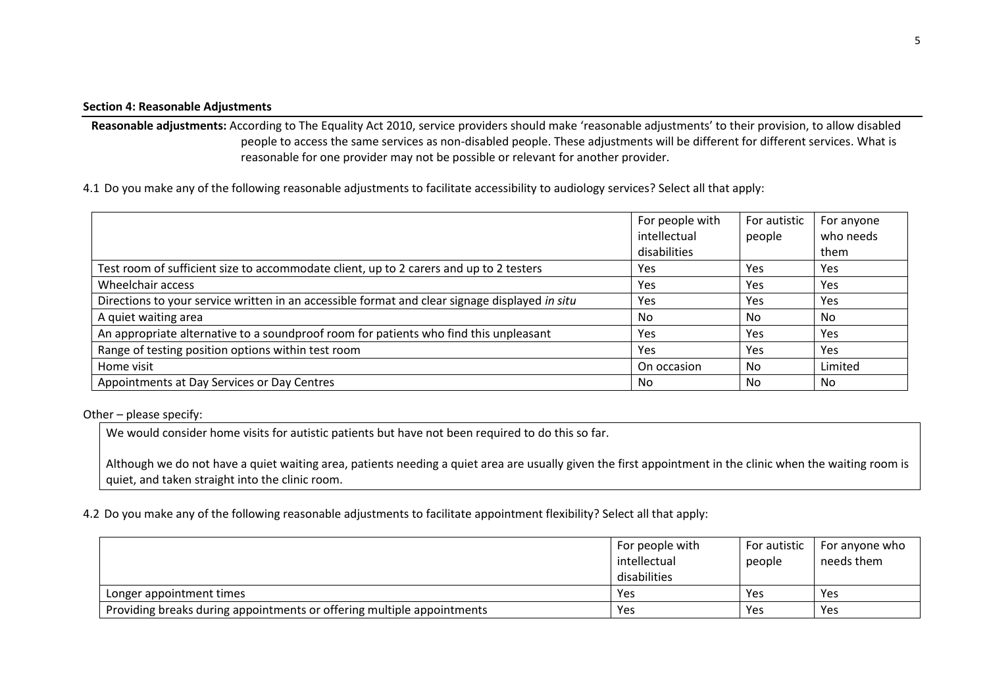## **Section 4: Reasonable Adjustments**

**Reasonable adjustments:** According to The Equality Act 2010, service providers should make 'reasonable adjustments' to their provision, to allow disabled people to access the same services as non-disabled people. These adjustments will be different for different services. What is reasonable for one provider may not be possible or relevant for another provider.

4.1 Do you make any of the following reasonable adjustments to facilitate accessibility to audiology services? Select all that apply:

|                                                                                                | For people with<br>intellectual | For autistic<br>people | For anyone<br>who needs |
|------------------------------------------------------------------------------------------------|---------------------------------|------------------------|-------------------------|
|                                                                                                | disabilities                    |                        | them                    |
| Test room of sufficient size to accommodate client, up to 2 carers and up to 2 testers         | Yes                             | Yes                    | Yes                     |
| Wheelchair access                                                                              | Yes                             | Yes                    | <b>Yes</b>              |
| Directions to your service written in an accessible format and clear signage displayed in situ | Yes                             | Yes                    | Yes                     |
| A quiet waiting area                                                                           | No                              | No                     | No.                     |
| An appropriate alternative to a soundproof room for patients who find this unpleasant          | Yes                             | Yes                    | Yes                     |
| Range of testing position options within test room                                             | Yes                             | Yes                    | Yes                     |
| Home visit                                                                                     | On occasion                     | No                     | Limited                 |
| Appointments at Day Services or Day Centres                                                    | No                              | No                     | No.                     |

Other – please specify:

We would consider home visits for autistic patients but have not been required to do this so far.

Although we do not have a quiet waiting area, patients needing a quiet area are usually given the first appointment in the clinic when the waiting room is quiet, and taken straight into the clinic room.

4.2 Do you make any of the following reasonable adjustments to facilitate appointment flexibility? Select all that apply:

|                                                                        | For people with<br>intellectual<br>disabilities | For autistic<br>people | For anyone who<br>needs them |
|------------------------------------------------------------------------|-------------------------------------------------|------------------------|------------------------------|
| Longer appointment times                                               | Yes                                             | Yes                    | Yes                          |
| Providing breaks during appointments or offering multiple appointments | Yes                                             | Yes                    | Yes                          |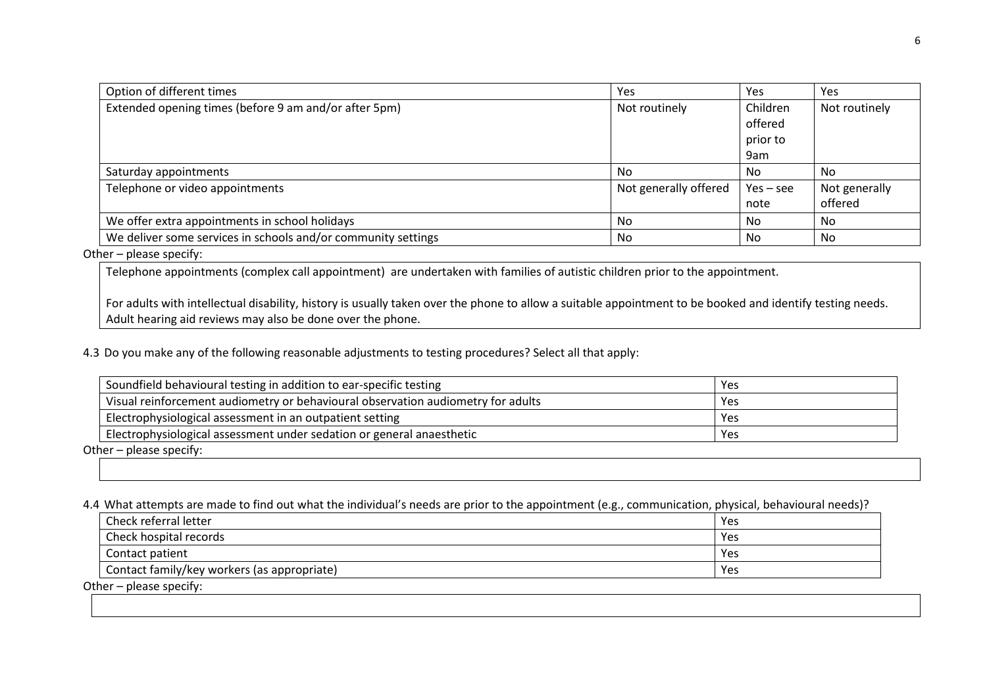| Option of different times                                     | Yes                   | Yes         | Yes           |
|---------------------------------------------------------------|-----------------------|-------------|---------------|
| Extended opening times (before 9 am and/or after 5pm)         | Not routinely         | Children    | Not routinely |
|                                                               |                       | offered     |               |
|                                                               |                       | prior to    |               |
|                                                               |                       | 9am         |               |
| Saturday appointments                                         | No                    | No          | No            |
| Telephone or video appointments                               | Not generally offered | $Yes - see$ | Not generally |
|                                                               |                       | note        | offered       |
| We offer extra appointments in school holidays                | No                    | No          | No            |
| We deliver some services in schools and/or community settings | No                    | No          | No            |

# Other – please specify:

Telephone appointments (complex call appointment) are undertaken with families of autistic children prior to the appointment.

For adults with intellectual disability, history is usually taken over the phone to allow a suitable appointment to be booked and identify testing needs. Adult hearing aid reviews may also be done over the phone.

4.3 Do you make any of the following reasonable adjustments to testing procedures? Select all that apply:

| Soundfield behavioural testing in addition to ear-specific testing               | Yes |
|----------------------------------------------------------------------------------|-----|
| Visual reinforcement audiometry or behavioural observation audiometry for adults | Yes |
| Electrophysiological assessment in an outpatient setting                         | Yes |
| Electrophysiological assessment under sedation or general anaesthetic            | Yes |

Other – please specify:

4.4 What attempts are made to find out what the individual's needs are prior to the appointment (e.g., communication, physical, behavioural needs)?

| Check referral letter                       | Yes |
|---------------------------------------------|-----|
| Check hospital records                      | Yes |
| Contact patient                             | Yes |
| Contact family/key workers (as appropriate) | Yes |

Other – please specify: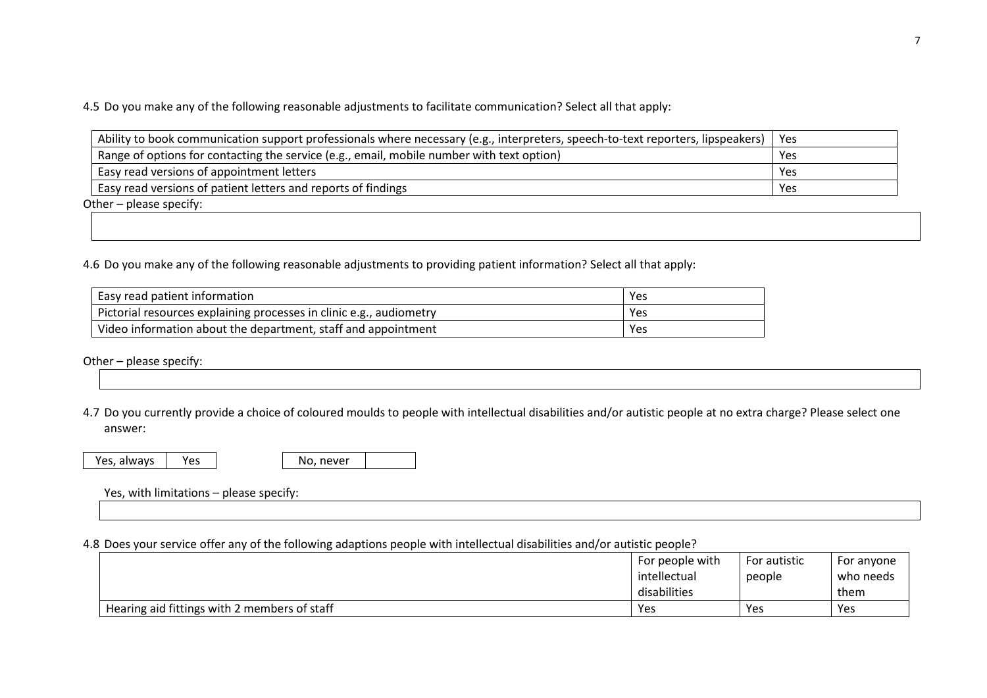4.5 Do you make any of the following reasonable adjustments to facilitate communication? Select all that apply:

| Ability to book communication support professionals where necessary (e.g., interpreters, speech-to-text reporters, lipspeakers) | l Yes |
|---------------------------------------------------------------------------------------------------------------------------------|-------|
| Range of options for contacting the service (e.g., email, mobile number with text option)                                       | Yes   |
| Easy read versions of appointment letters                                                                                       | Yes   |
| Easy read versions of patient letters and reports of findings                                                                   | Yes   |

Other – please specify:

4.6 Do you make any of the following reasonable adjustments to providing patient information? Select all that apply:

| Easy read patient information                                       | Yes |
|---------------------------------------------------------------------|-----|
| Pictorial resources explaining processes in clinic e.g., audiometry | Yes |
| Video information about the department, staff and appointment       | Yes |

Other – please specify:

4.7 Do you currently provide a choice of coloured moulds to people with intellectual disabilities and/or autistic people at no extra charge? Please select one answer:

Yes, always Yes

| No, never |  |
|-----------|--|
|-----------|--|

Yes, with limitations – please specify:

## 4.8 Does your service offer any of the following adaptions people with intellectual disabilities and/or autistic people?

|                                              | For people with | For autistic | For anyone |
|----------------------------------------------|-----------------|--------------|------------|
|                                              | intellectual    | people       | who needs  |
|                                              | disabilities    |              | them       |
| Hearing aid fittings with 2 members of staff | Yes             | Yes          | Yes        |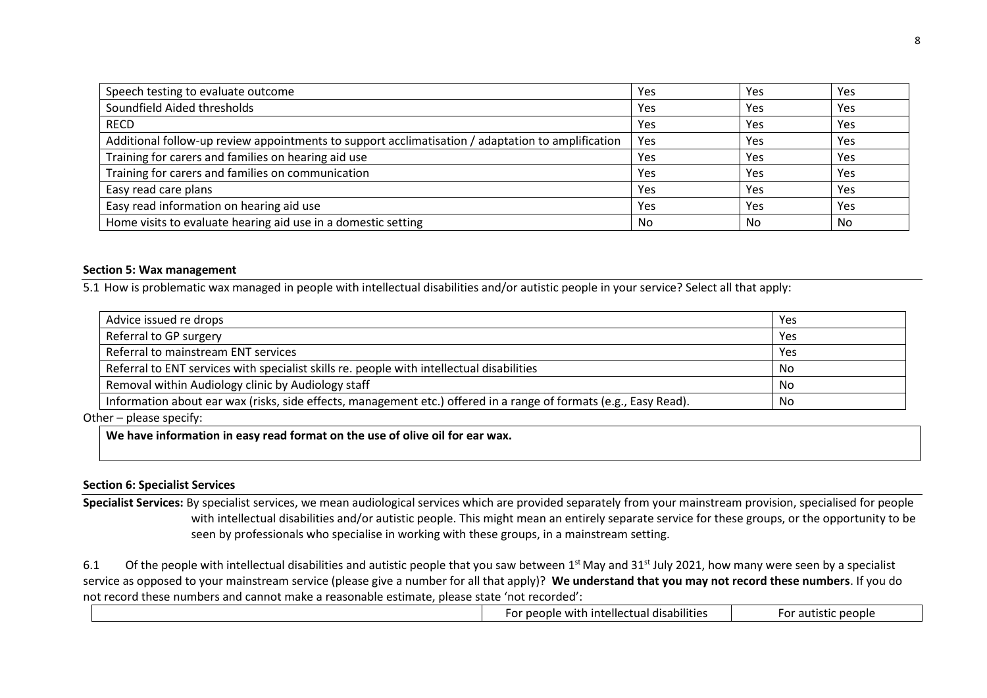| Speech testing to evaluate outcome                                                                | Yes | Yes | Yes |
|---------------------------------------------------------------------------------------------------|-----|-----|-----|
| Soundfield Aided thresholds                                                                       | Yes | Yes | Yes |
| <b>RECD</b>                                                                                       | Yes | Yes | Yes |
| Additional follow-up review appointments to support acclimatisation / adaptation to amplification | Yes | Yes | Yes |
| Training for carers and families on hearing aid use                                               | Yes | Yes | Yes |
| Training for carers and families on communication                                                 | Yes | Yes | Yes |
| Easy read care plans                                                                              | Yes | Yes | Yes |
| Easy read information on hearing aid use                                                          | Yes | Yes | Yes |
| Home visits to evaluate hearing aid use in a domestic setting                                     | No  | No  | No  |

#### **Section 5: Wax management**

5.1 How is problematic wax managed in people with intellectual disabilities and/or autistic people in your service? Select all that apply:

| Advice issued re drops                                                                                            | Yes |
|-------------------------------------------------------------------------------------------------------------------|-----|
| Referral to GP surgery                                                                                            | Yes |
| Referral to mainstream ENT services                                                                               | Yes |
| Referral to ENT services with specialist skills re. people with intellectual disabilities                         | No. |
| Removal within Audiology clinic by Audiology staff                                                                | No  |
| Information about ear wax (risks, side effects, management etc.) offered in a range of formats (e.g., Easy Read). | No  |

Other – please specify:

**We have information in easy read format on the use of olive oil for ear wax.**

# **Section 6: Specialist Services**

**Specialist Services:** By specialist services, we mean audiological services which are provided separately from your mainstream provision, specialised for people with intellectual disabilities and/or autistic people. This might mean an entirely separate service for these groups, or the opportunity to be seen by professionals who specialise in working with these groups, in a mainstream setting.

6.1 Of the people with intellectual disabilities and autistic people that you saw between  $1<sup>st</sup>$  May and 31<sup>st</sup> July 2021, how many were seen by a specialist service as opposed to your mainstream service (please give a number for all that apply)? **We understand that you may not record these numbers**. If you do not record these numbers and cannot make a reasonable estimate, please state 'not recorded':

|  |  | . .<br>.<br>.<br>tellecti<br>n dicahilitiar<br>111F<br>$\sim$ $\sim$ $\sim$<br>ובי<br><b>COOM</b><br>uai<br>. updullluc.<br>. | people<br>$\sim$<br>-ui<br><b>CU</b> |
|--|--|-------------------------------------------------------------------------------------------------------------------------------|--------------------------------------|
|--|--|-------------------------------------------------------------------------------------------------------------------------------|--------------------------------------|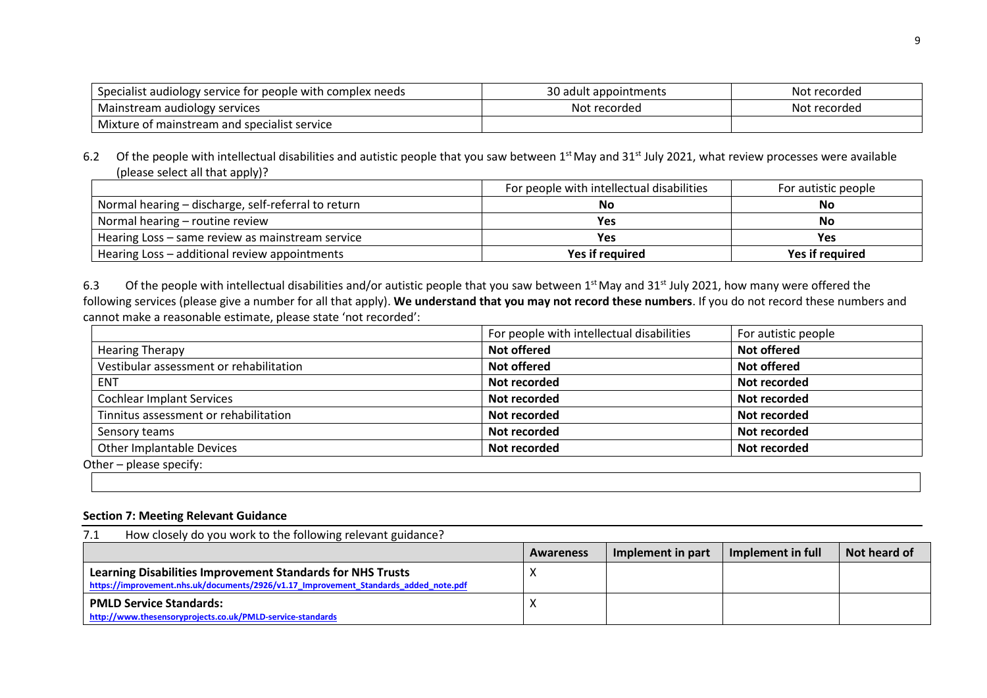| Specialist audiology service for people with complex needs | 30 adult appointments | Not recorded |
|------------------------------------------------------------|-----------------------|--------------|
| Mainstream audiology services                              | Not recorded          | Not recorded |
| Mixture of mainstream and specialist service               |                       |              |

6.2 Of the people with intellectual disabilities and autistic people that you saw between  $1<sup>st</sup>$  May and  $31<sup>st</sup>$  July 2021, what review processes were available (please select all that apply)?

|                                                     | For people with intellectual disabilities | For autistic people |
|-----------------------------------------------------|-------------------------------------------|---------------------|
| Normal hearing - discharge, self-referral to return | No                                        | No                  |
| Normal hearing – routine review                     | Yes                                       | No                  |
| Hearing Loss - same review as mainstream service    | Yes                                       | Yes                 |
| Hearing Loss - additional review appointments       | Yes if required                           | Yes if required     |

6.3 Of the people with intellectual disabilities and/or autistic people that you saw between 1<sup>st</sup> May and 31<sup>st</sup> July 2021, how many were offered the following services (please give a number for all that apply). **We understand that you may not record these numbers**. If you do not record these numbers and cannot make a reasonable estimate, please state 'not recorded':

|                                         | For people with intellectual disabilities | For autistic people |
|-----------------------------------------|-------------------------------------------|---------------------|
| <b>Hearing Therapy</b>                  | Not offered                               | <b>Not offered</b>  |
| Vestibular assessment or rehabilitation | <b>Not offered</b>                        | <b>Not offered</b>  |
| <b>ENT</b>                              | Not recorded                              | Not recorded        |
| <b>Cochlear Implant Services</b>        | Not recorded                              | Not recorded        |
| Tinnitus assessment or rehabilitation   | Not recorded                              | Not recorded        |
| Sensory teams                           | Not recorded                              | Not recorded        |
| Other Implantable Devices               | Not recorded                              | Not recorded        |
| Other - please specify:                 |                                           |                     |

### **Section 7: Meeting Relevant Guidance**

| How closely do you work to the following relevant guidance?<br>7.1                                                                                 |           |                   |                   |              |
|----------------------------------------------------------------------------------------------------------------------------------------------------|-----------|-------------------|-------------------|--------------|
|                                                                                                                                                    | Awareness | Implement in part | Implement in full | Not heard of |
| Learning Disabilities Improvement Standards for NHS Trusts<br>https://improvement.nhs.uk/documents/2926/v1.17 Improvement Standards added note.pdf |           |                   |                   |              |
| <b>PMLD Service Standards:</b><br>http://www.thesensoryprojects.co.uk/PMLD-service-standards                                                       |           |                   |                   |              |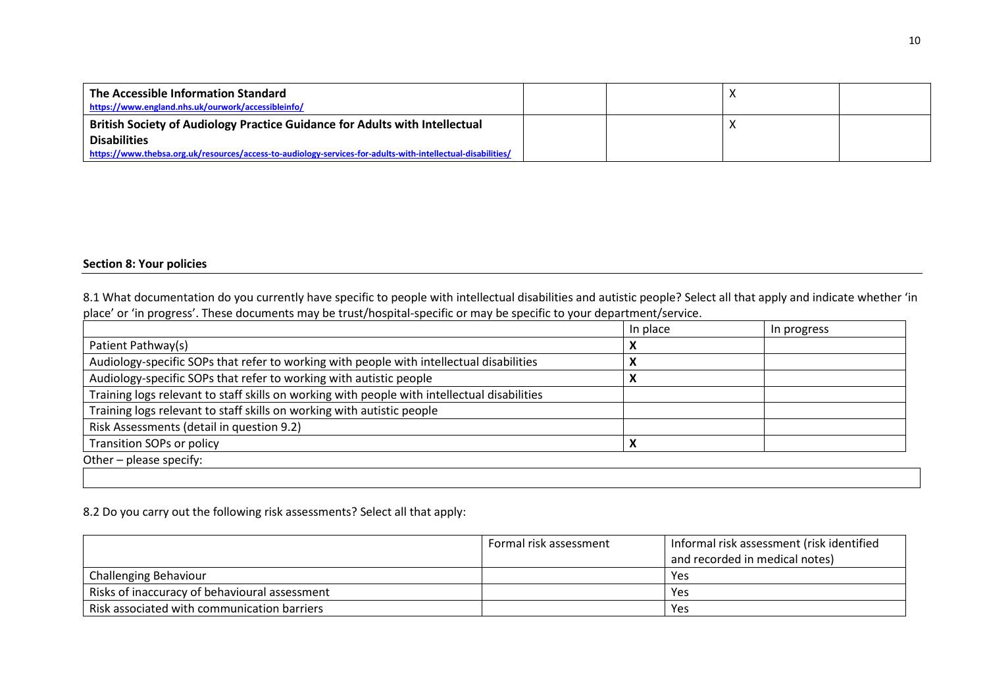| The Accessible Information Standard<br>https://www.england.nhs.uk/ourwork/accessibleinfo/                   |  |  |
|-------------------------------------------------------------------------------------------------------------|--|--|
| British Society of Audiology Practice Guidance for Adults with Intellectual                                 |  |  |
| <b>Disabilities</b>                                                                                         |  |  |
| https://www.thebsa.org.uk/resources/access-to-audiology-services-for-adults-with-intellectual-disabilities/ |  |  |

# **Section 8: Your policies**

8.1 What documentation do you currently have specific to people with intellectual disabilities and autistic people? Select all that apply and indicate whether 'in place' or 'in progress'. These documents may be trust/hospital-specific or may be specific to your department/service.

|                                                                                              | In place | In progress |  |
|----------------------------------------------------------------------------------------------|----------|-------------|--|
| Patient Pathway(s)                                                                           |          |             |  |
| Audiology-specific SOPs that refer to working with people with intellectual disabilities     |          |             |  |
| Audiology-specific SOPs that refer to working with autistic people                           |          |             |  |
| Training logs relevant to staff skills on working with people with intellectual disabilities |          |             |  |
| Training logs relevant to staff skills on working with autistic people                       |          |             |  |
| Risk Assessments (detail in question 9.2)                                                    |          |             |  |
| <b>Transition SOPs or policy</b>                                                             |          |             |  |
| Other – please specify:                                                                      |          |             |  |

# 8.2 Do you carry out the following risk assessments? Select all that apply:

|                                               | Formal risk assessment | Informal risk assessment (risk identified |
|-----------------------------------------------|------------------------|-------------------------------------------|
|                                               |                        | and recorded in medical notes)            |
| Challenging Behaviour                         |                        | Yes                                       |
| Risks of inaccuracy of behavioural assessment |                        | Yes                                       |
| Risk associated with communication barriers   |                        | Yes                                       |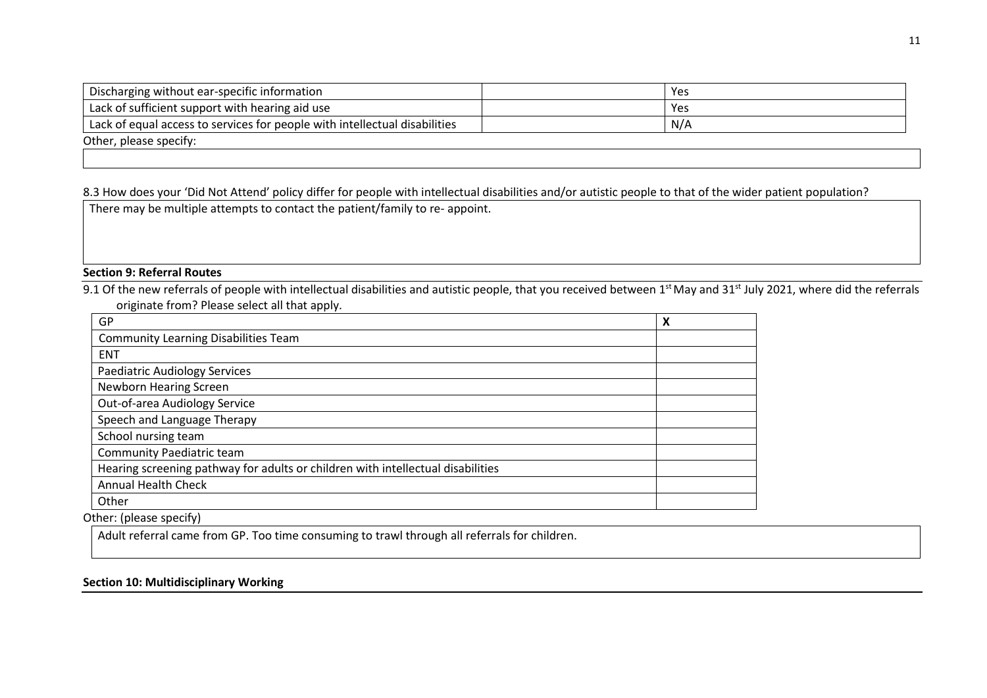| Discharging without ear-specific information                               | <b>Yes</b> |
|----------------------------------------------------------------------------|------------|
| Lack of sufficient support with hearing aid use                            | Yes        |
| Lack of equal access to services for people with intellectual disabilities | N/A        |
| Other, please specify:                                                     |            |
|                                                                            |            |

8.3 How does your 'Did Not Attend' policy differ for people with intellectual disabilities and/or autistic people to that of the wider patient population?

There may be multiple attempts to contact the patient/family to re- appoint.

# **Section 9: Referral Routes**

9.1 Of the new referrals of people with intellectual disabilities and autistic people, that you received between 1<sup>st</sup> May and 31<sup>st</sup> July 2021, where did the referrals originate from? Please select all that apply.

| GP                                                                              | X |
|---------------------------------------------------------------------------------|---|
| <b>Community Learning Disabilities Team</b>                                     |   |
| <b>ENT</b>                                                                      |   |
| Paediatric Audiology Services                                                   |   |
| Newborn Hearing Screen                                                          |   |
| Out-of-area Audiology Service                                                   |   |
| Speech and Language Therapy                                                     |   |
| School nursing team                                                             |   |
| Community Paediatric team                                                       |   |
| Hearing screening pathway for adults or children with intellectual disabilities |   |
| <b>Annual Health Check</b>                                                      |   |
| Other                                                                           |   |

Other: (please specify)

Adult referral came from GP. Too time consuming to trawl through all referrals for children.

# **Section 10: Multidisciplinary Working**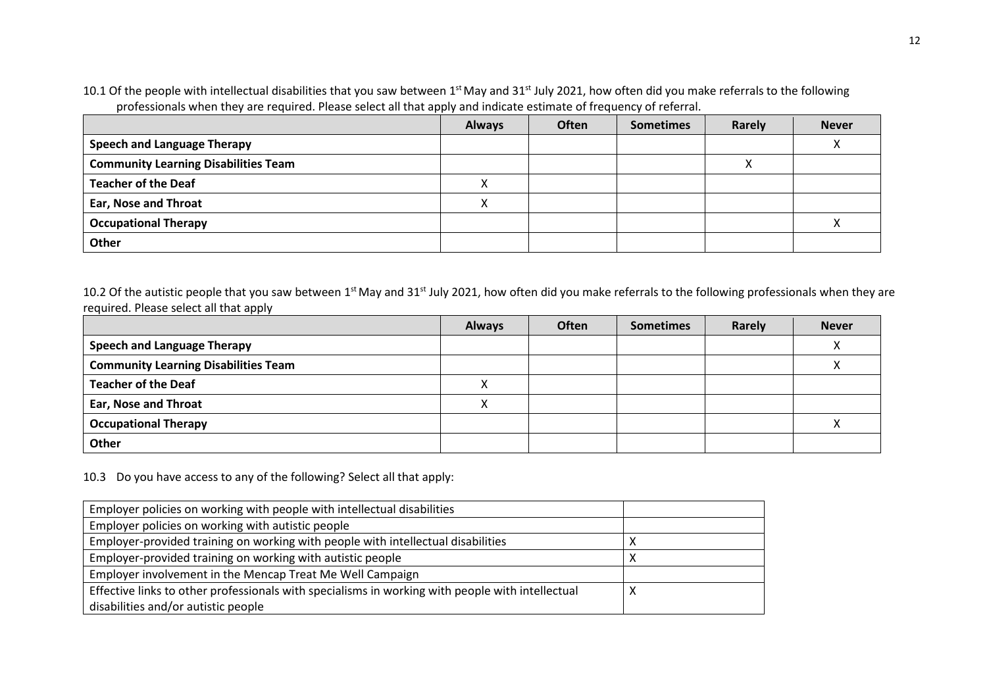10.1 Of the people with intellectual disabilities that you saw between 1<sup>st</sup> May and 31<sup>st</sup> July 2021, how often did you make referrals to the following professionals when they are required. Please select all that apply and indicate estimate of frequency of referral.

|                                             | <b>Always</b> | <b>Often</b> | <b>Sometimes</b> | Rarely | <b>Never</b> |
|---------------------------------------------|---------------|--------------|------------------|--------|--------------|
| <b>Speech and Language Therapy</b>          |               |              |                  |        |              |
| <b>Community Learning Disabilities Team</b> |               |              |                  | ∧      |              |
| <b>Teacher of the Deaf</b>                  |               |              |                  |        |              |
| <b>Ear, Nose and Throat</b>                 |               |              |                  |        |              |
| <b>Occupational Therapy</b>                 |               |              |                  |        |              |
| Other                                       |               |              |                  |        |              |

10.2 Of the autistic people that you saw between 1<sup>st</sup> May and 31<sup>st</sup> July 2021, how often did you make referrals to the following professionals when they are required. Please select all that apply

|                                             | <b>Always</b> | <b>Often</b> | <b>Sometimes</b> | Rarely | <b>Never</b> |
|---------------------------------------------|---------------|--------------|------------------|--------|--------------|
| <b>Speech and Language Therapy</b>          |               |              |                  |        |              |
| <b>Community Learning Disabilities Team</b> |               |              |                  |        |              |
| <b>Teacher of the Deaf</b>                  |               |              |                  |        |              |
| <b>Ear, Nose and Throat</b>                 |               |              |                  |        |              |
| <b>Occupational Therapy</b>                 |               |              |                  |        |              |
| Other                                       |               |              |                  |        |              |

10.3 Do you have access to any of the following? Select all that apply:

| Employer policies on working with people with intellectual disabilities                          |  |
|--------------------------------------------------------------------------------------------------|--|
| Employer policies on working with autistic people                                                |  |
| Employer-provided training on working with people with intellectual disabilities                 |  |
| Employer-provided training on working with autistic people                                       |  |
| Employer involvement in the Mencap Treat Me Well Campaign                                        |  |
| Effective links to other professionals with specialisms in working with people with intellectual |  |
| disabilities and/or autistic people                                                              |  |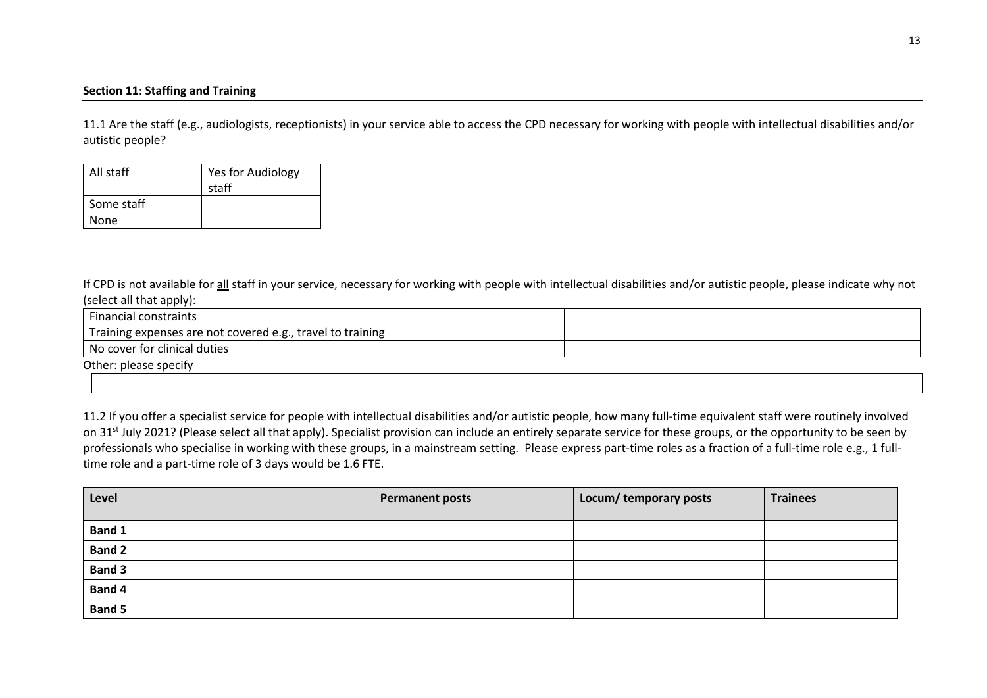# **Section 11: Staffing and Training**

11.1 Are the staff (e.g., audiologists, receptionists) in your service able to access the CPD necessary for working with people with intellectual disabilities and/or autistic people?

| All staff  | Yes for Audiology |
|------------|-------------------|
|            | staff             |
| Some staff |                   |
| None       |                   |

If CPD is not available for all staff in your service, necessary for working with people with intellectual disabilities and/or autistic people, please indicate why not (select all that apply):

| <b>Financial constraints</b>                               |  |
|------------------------------------------------------------|--|
| Training expenses are not covered e.g., travel to training |  |
| No cover for clinical duties                               |  |
| Other: please specify                                      |  |
|                                                            |  |

11.2 If you offer a specialist service for people with intellectual disabilities and/or autistic people, how many full-time equivalent staff were routinely involved on 31<sup>st</sup> July 2021? (Please select all that apply). Specialist provision can include an entirely separate service for these groups, or the opportunity to be seen by professionals who specialise in working with these groups, in a mainstream setting. Please express part-time roles as a fraction of a full-time role e.g., 1 fulltime role and a part-time role of 3 days would be 1.6 FTE.

| Level         | <b>Permanent posts</b> | Locum/ temporary posts | <b>Trainees</b> |
|---------------|------------------------|------------------------|-----------------|
| Band 1        |                        |                        |                 |
| <b>Band 2</b> |                        |                        |                 |
| <b>Band 3</b> |                        |                        |                 |
| Band 4        |                        |                        |                 |
| <b>Band 5</b> |                        |                        |                 |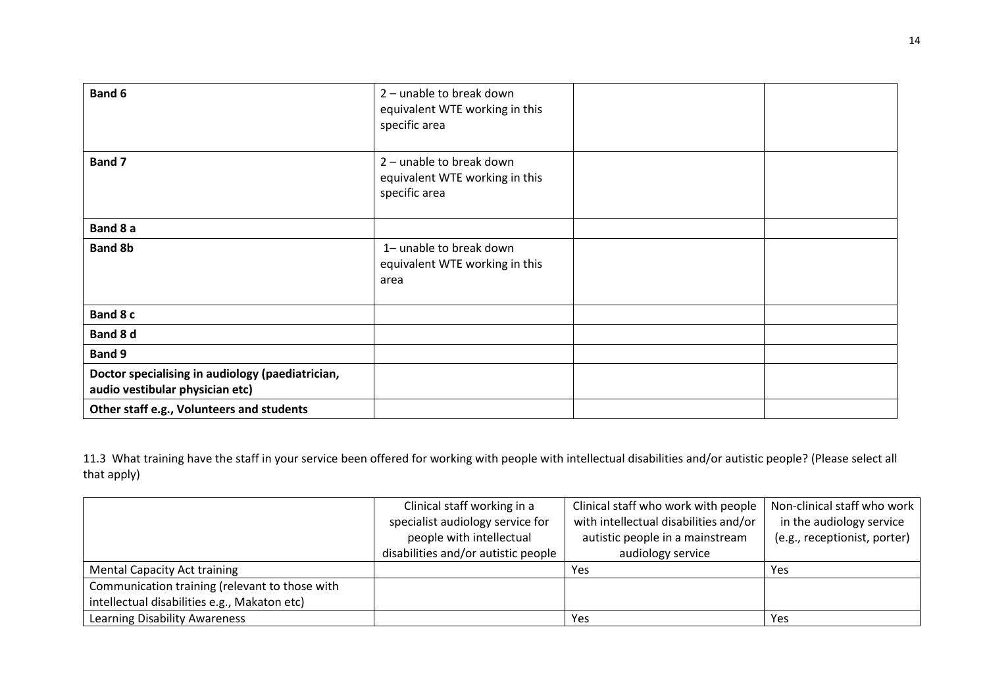| Band 6                                                                              | 2 - unable to break down<br>equivalent WTE working in this<br>specific area |  |
|-------------------------------------------------------------------------------------|-----------------------------------------------------------------------------|--|
| <b>Band 7</b>                                                                       | 2 - unable to break down<br>equivalent WTE working in this<br>specific area |  |
| Band 8 a                                                                            |                                                                             |  |
| <b>Band 8b</b>                                                                      | 1- unable to break down<br>equivalent WTE working in this<br>area           |  |
| Band 8 c                                                                            |                                                                             |  |
| Band 8 d                                                                            |                                                                             |  |
| <b>Band 9</b>                                                                       |                                                                             |  |
| Doctor specialising in audiology (paediatrician,<br>audio vestibular physician etc) |                                                                             |  |
| Other staff e.g., Volunteers and students                                           |                                                                             |  |

11.3 What training have the staff in your service been offered for working with people with intellectual disabilities and/or autistic people? (Please select all that apply)

|                                                | Clinical staff working in a         | Clinical staff who work with people   | Non-clinical staff who work  |
|------------------------------------------------|-------------------------------------|---------------------------------------|------------------------------|
|                                                | specialist audiology service for    | with intellectual disabilities and/or | in the audiology service     |
|                                                | people with intellectual            | autistic people in a mainstream       | (e.g., receptionist, porter) |
|                                                | disabilities and/or autistic people | audiology service                     |                              |
| <b>Mental Capacity Act training</b>            |                                     | Yes                                   | Yes                          |
| Communication training (relevant to those with |                                     |                                       |                              |
| intellectual disabilities e.g., Makaton etc)   |                                     |                                       |                              |
| <b>Learning Disability Awareness</b>           |                                     | Yes                                   | Yes                          |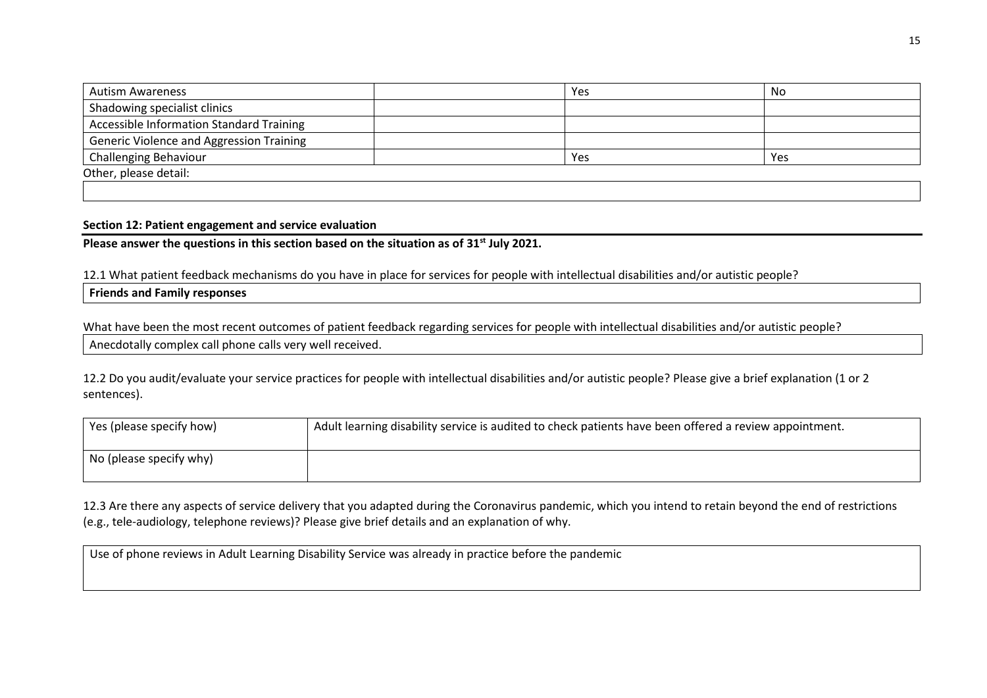| Autism Awareness                                | Yes | No  |
|-------------------------------------------------|-----|-----|
| Shadowing specialist clinics                    |     |     |
| <b>Accessible Information Standard Training</b> |     |     |
| <b>Generic Violence and Aggression Training</b> |     |     |
| <b>Challenging Behaviour</b>                    | Yes | Yes |
| Other, please detail:                           |     |     |

#### **Section 12: Patient engagement and service evaluation**

**Please answer the questions in this section based on the situation as of 31st July 2021.** 

12.1 What patient feedback mechanisms do you have in place for services for people with intellectual disabilities and/or autistic people?

**Friends and Family responses**

What have been the most recent outcomes of patient feedback regarding services for people with intellectual disabilities and/or autistic people? Anecdotally complex call phone calls very well received.

12.2 Do you audit/evaluate your service practices for people with intellectual disabilities and/or autistic people? Please give a brief explanation (1 or 2 sentences).

| Yes (please specify how) | Adult learning disability service is audited to check patients have been offered a review appointment. |
|--------------------------|--------------------------------------------------------------------------------------------------------|
| No (please specify why)  |                                                                                                        |

12.3 Are there any aspects of service delivery that you adapted during the Coronavirus pandemic, which you intend to retain beyond the end of restrictions (e.g., tele-audiology, telephone reviews)? Please give brief details and an explanation of why.

Use of phone reviews in Adult Learning Disability Service was already in practice before the pandemic